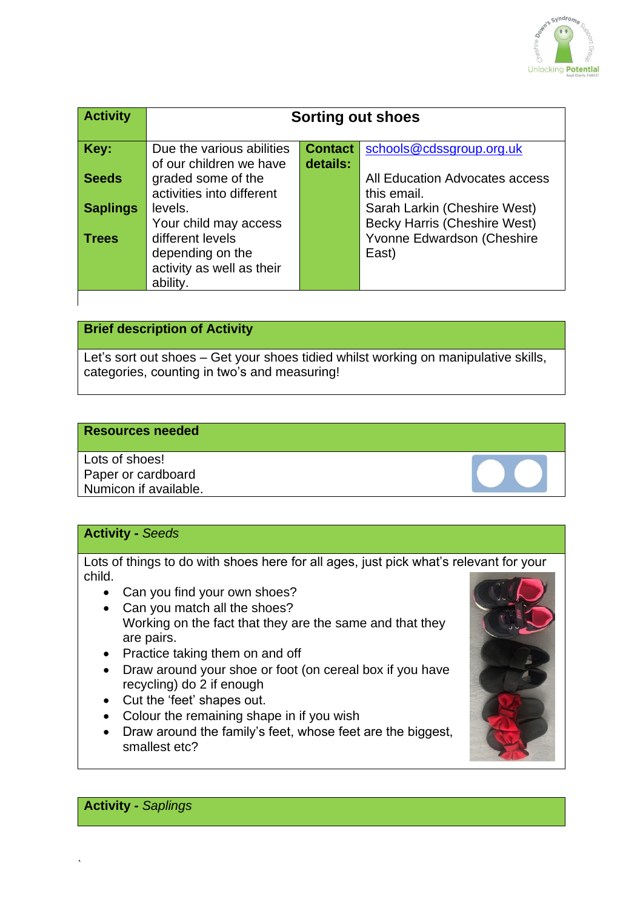

| <b>Contact</b><br>Key:<br>Due the various abilities<br>schools@cdssgroup.org.uk<br>details:<br>of our children we have<br><b>Seeds</b><br>graded some of the<br>All Education Advocates access       |  |
|------------------------------------------------------------------------------------------------------------------------------------------------------------------------------------------------------|--|
|                                                                                                                                                                                                      |  |
| activities into different<br>this email.                                                                                                                                                             |  |
| Sarah Larkin (Cheshire West)<br><b>Saplings</b><br>levels.                                                                                                                                           |  |
| <b>Becky Harris (Cheshire West)</b><br>Your child may access<br>Yvonne Edwardson (Cheshire<br>different levels<br><b>Trees</b><br>depending on the<br>East)<br>activity as well as their<br>ability. |  |

#### **Brief description of Activity**

Let's sort out shoes – Get your shoes tidied whilst working on manipulative skills, categories, counting in two's and measuring!

#### **Resources needed**

Lots of shoes! Paper or cardboard Numicon if available.

#### **Activity -** *Seeds*

Lots of things to do with shoes here for all ages, just pick what's relevant for your child.

- Can you find your own shoes?
- Can you match all the shoes? Working on the fact that they are the same and that they are pairs.
- Practice taking them on and off
- Draw around your shoe or foot (on cereal box if you have recycling) do 2 if enough
- Cut the 'feet' shapes out.
- Colour the remaining shape in if you wish
- Draw around the family's feet, whose feet are the biggest, smallest etc?



**Activity -** *Saplings*

`